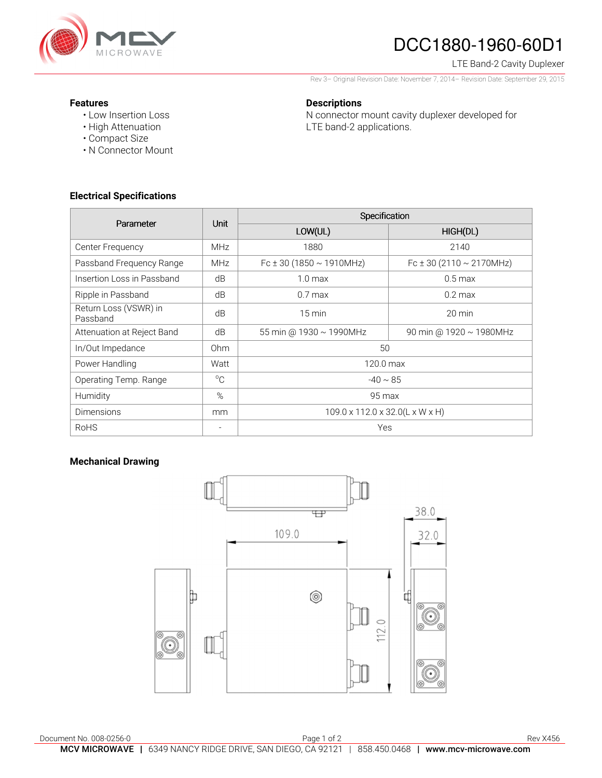

# DCC1880-1960-60D1

### LTE Band-2 Cavity Duplexer

Rev 3– Original Revision Date: November 7, 2014– Revision Date: September 29, 2015

N connector mount cavity duplexer developed for

#### **Features**

- Low Insertion Loss
- High Attenuation
- Compact Size
- N Connector Mount

## **Electrical Specifications**

| Parameter                         | <b>Unit</b>  | Specification                                         |                               |
|-----------------------------------|--------------|-------------------------------------------------------|-------------------------------|
|                                   |              | LOW(UL)                                               | HIGH(DL)                      |
| Center Frequency                  | MHz          | 1880                                                  | 2140                          |
| Passband Frequency Range          | <b>MHz</b>   | Fc ± 30 (1850 $\sim$ 1910MHz)                         | Fc ± 30 (2110 $\sim$ 2170MHz) |
| Insertion Loss in Passband        | dB           | 1.0 <sub>max</sub>                                    | $0.5 \text{ max}$             |
| Ripple in Passband                | dB           | $0.7$ max                                             | $0.2$ max                     |
| Return Loss (VSWR) in<br>Passband | dB           | $15 \text{ min}$                                      | $20 \text{ min}$              |
| Attenuation at Reject Band        | dB           | 55 min @ 1930 ~ 1990MHz                               | 90 min @ 1920 ~ 1980MHz       |
| In/Out Impedance                  | Ohm          | 50                                                    |                               |
| Power Handling                    | Watt         | 120.0 max                                             |                               |
| Operating Temp. Range             | $^{\circ}$ C | $-40 \sim 85$                                         |                               |
| Humidity                          | %            | 95 max                                                |                               |
| Dimensions                        | mm           | $109.0 \times 112.0 \times 32.0(L \times W \times H)$ |                               |
| <b>RoHS</b>                       |              | Yes                                                   |                               |

**Descriptions** 

LTE band-2 applications.

## **Mechanical Drawing**